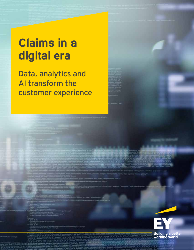## **Claims in a digital era**

Data, analytics and AI transform the customer experience



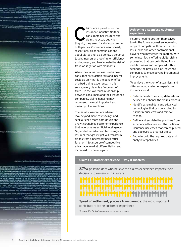aims are a paradox for the<br>
insurance industry. Neither<br>
consumers nor insurers want<br>
claims to occur, but when<br>
they do, they are critically important to insurance industry. Neither consumers nor insurers want claims to occur, but when both parties. Consumers want speedy resolutions, clear communications about status and, as a bonus, a personal touch. Insurers are looking for efficiency and accuracy and to eliminate the risk of fraud or litigation with claimants.

When the claims process breaks down, consumer satisfaction falls and insurer costs go up – that is the penalty effect of a bad claims experience. In this sense, every claim is a "moment of truth." In the low-touch relationship between consumers and their insurance companies, claims handling may represent the most important and meaningful interactions.

That is why insurers are advised to look beyond mere cost savings and seek a richer, more data-driven and analytics-enabled customer experience that incorporates artificial intelligence (AI) and other advanced technologies. Insurers that get it right will transform claims from a necessary back-office function into a source of competitive advantage, market differentiation and increased customer loyalty.

#### **Achieving a seamless customer experience**

Insurers need to position themselves to win the future against an increasing range of competitive threats, such as InsurTechs and other nontraditional players who may enter the market. With some InsurTechs offering digital claims processing that can be initiated from mobile devices and completed within seconds, the pressure is on insurance companies to move beyond incremental improvements.

To achieve the vision of a seamless and differentiating customer experience, insurers should:

- Determine which existing data sets can be used to enhance the claims process
- Identify external data and advanced technologies that can be applied to further reduce costs and remove friction
- Define and emulate the practices from experienced leaders and the particular insurance use cases that can be piloted and deployed to greatest effect
- Begin to build the required data and analytics capabilities

#### **Claims customer experience — why it matters**

**87%:** policyholders who believe the claims experience impacts their decisions to remain with insurers

# 

**Speed of settlement, process transparency:** the most important contributors to the customer experience

*Source: EY Global consumer insurance survey*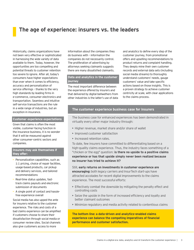## **The age of experience: insurers vs. the leaders**

Historically, claims organizations have not been very effective or sophisticated in harnessing the wide variety of data available to them. Today, however, the opportunities are too compelling and potential threats to customer retention too severe to ignore. After all, today's consumers have higher expectations than ever when it comes to efficiency, accuracy and personalization of service offerings – thanks to the very high standards by leading firms in e-commerce, consumer electronics and transportation. Seamless and intuitive self-service transactions are the rule in a wide range of industries, but an exception in insurance.

#### **Customer experience expectations**

Given that claims is often the most visible, customer-facing function in the insurance business, it is no wonder that it will be measured against other consumer-centric sectors and companies.

#### **Insurers may ask themselves if they offer:**

- Personalization capabilities, such as 1:1 pricing, choice of repair facilities, usage-based products, car pickup and delivery services, and tailored recommendations
- Real-time status updates, fasttrack claims payouts and electronic submission of documents
- A single point of contact and hasslefree experience overall

Social media has also upped the ante for insurers relative to the customer experience. The risks and costs of a bad claims experience can be amplified if customers choose to share their dissatisfaction through social media or consumer review sites. Social channels also give customers access to more

information about the companies they do business with – information the companies do not necessarily control. The proliferation of advertising by attorneys seeking claimants suggests there are many dissatisfied claimants.

#### **Data and analytics in the customer journey**

The most important difference between the experience offered by insurers and that delivered by digital bellwethers from other industries is the latter's use of data and analytics to define every step of the customer journey, from promotional offers and upselling recommendations to product returns and complaint handling. They deeply mine their own customer records and external data sets (including social media streams) to thoroughly understand customers' needs, gauge customers' value and take specific actions based on those insights. This is a proven strategy to achieve customer centricity at scale, with clear applications to the claims process.

#### **The customer experience business case for insurers**

The business case for enhanced experiences has been demonstrated in virtually every other major industry through:

- Higher revenue, market share and/or share of wallet
- Improved customer satisfaction
- Increased retention rates.

To date, few insurers have committed to differentiating based on a high-quality claims experience. Thus, the industry faces something of a "chicken or the egg" question: **is there no upside to a positive claims experience or has that upside simply never been realized because no insurer has tried to achieve it?**

Still, **early returns on investments in customer experience are encouraging:** both legacy carriers and InsurTech start-ups have attracted accolades for recent digital improvements to the claims experience. The most successful efforts:

- Effectively combat the downside by mitigating the penalty effect and controlling costs
- Seize the upside in the form of increased efficiency and loyalty and better claimant outcomes
- Minimize regulatory and media activity related to contentious claims

**The bottom line: a data-driven and analytics-enabled claims experience can balance the competing imperatives of financial performance and customer satisfaction.**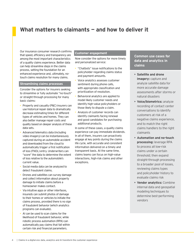## **What matters to claimants — and how to deliver it**

Our insurance consumer research confirms that speed, efficiency and transparency are among the most important characteristics of a quality claims experience. Better data can help streamline steps in the claims process, setting the foundation for an enhanced experience and, ultimately, notouch claims resolution for many claims.

#### **Streamlining claims processes**

Consider the options for insurers seeking to streamline or fully automate "no-touch" or straight-through processing for many basic claims:

- Property and casualty (P&C) insurers can use historical repair data to dramatically decrease estimating times for different types of vehicles and homes. They can also better manage repair costs and quality based on deeper analysis of these data sets.
- Advanced telematics data (including video imagery) can be instantaneously captured during an automobile accident and downloaded from the cloud to automatically trigger a first notification of loss (FNOL) entry. Underwriters can "score" the data to determine the extent of loss relative to the automobile's current value.
- Social media data can be analyzed to detect fraudulent claims.
- Drones and satellites can survey damage and collect information about property damage to initiate claims before a homeowner makes contact.
- Via intuitive apps or other interfaces, insureds can submit photos of damage to their homes or vehicles to initiate the claims process, provided there is no sign of fraudulent behavior (which analytics programs can evaluate).
- AI can be used to scan claims for the likelihood of fraudulent behavior, while robotic process automation (RPA) can automatically pay claims that fall within certain risk and financial parameters.

#### **Customer engagement**

Now consider the options for more timely and personalized service:

- "Chatbots" issue notifications to the policyholder regarding claims status and payment amounts.
- Voice analytics assesses customer sentiment during phone calls. with appropriate classification and prioritization of resolution.
- Behavioral analytics are applied to model likely customer needs and identify high-value policyholders or those likely to dispute a claim.
- Analysis of customer records can identify claimants facing renewal and good candidates for purchasing additional products.

In some of these cases, a quality claims experience can pay immediate dividends. In all of them, insurers can proactively engage at key points during the claims life cycle, with accurate and consistent information delivered on a timely and transparent basis. At the same time, claims teams can focus on high-value interactions, high-risk claims and other exceptions.

#### **Common use cases for data and analytics in claims**

- **Satellite and drone imagery:** capture and analyze satellite data for more accurate damage assessments after storms or natural disasters
- **Voice/biometrics:** analyze recording of contact center conversations to identify customers at risk of a negative claims experience, and to match the right claims handlers to the right claimants
- **Automation and no-touch processing:** leverage RPA to process all low-risk claims under a certain threshold; then expand straight-through processing to a broader pool of losses, reviewing claims types and policyholder history to evaluate claims risk
- **Vendor analytics:** Combine internal data and geospatial modeling techniques to determine best-performing vendors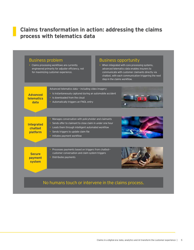## **Claims transformation in action: addressing the claims process with telematics data**

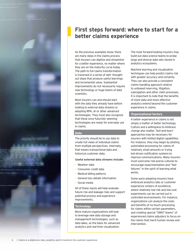

## **First steps forward: where to start for a better claims experience**

As the previous examples show, there are many steps in the claims process that insurers can digitize and streamline for a better experience, no matter where they are on the maturity curve today. The path to full claims transformation is traversed in a series of well- thoughtout steps that produce useful learnings and incremental value. Substantial improvements do not necessarily require new technology or huge teams of data scientists.

Most insurers can and should start with the data they already have before looking to external data streams or adopting RPA, AI or other advanced technologies. They must also recognize that these once-futuristic-seeming technologies are ready for everyday use in claims.

#### **Data**

The priority should be to use data to create full views of individual claims from multiple perspectives. Internally, that means transactional data and historical customer data.

#### **Useful external data streams include:**

- Weather data
- Consumer credit data
- 
- Medical billing patterns<br>• General loss details information
- Social media

All of these inputs will help evaluate future risk and leakage risks and support potential process and experience improvements.

#### **Technology**

More mature organizations will look to leverage new data storage and management technologies, such as data lakes, as the basis for advanced analytics and real-time visualization.

The most forward-looking insurers may build out data science teams to probe large and diverse data sets stored in analytics ecosystems.

Machine learning and visualization techniques can help predict claims risk with greater accuracy and certainty. They can also provide a consistent claims handling approach relative to unbiased reserving, litigation, subrogation and other claim processes. It is important to note that the benefits of more data and more effective analytics extend beyond the customer experience in claims.

#### **Organizational factors**

A better experience in claims is not simply a matter of better technology. Culture and a willingness to embrace change also matter. Test-and-learn approaches may be necessary for insurers with limited digital capabilities. For instance, they may begin by piloting automated processing for claims of relatively small amounts or trying bot-driven notification systems to improve communications. Many insurers must overcome risk-averse cultures to encourage experimentation and "fast failures" in the spirit of learning what works.

Some early-adopting insurers have embraced analytics labs or customer experience centers of excellence, where relatively low-risk and low-cost experiments can be carried out in controlled environments. For instance, organizations can analyze the costs and benefits of no-touch processing for claims within certain parameters, and creating special "SWAT teams" of experienced claims adjusters to focus on the claims that merit human review and intervention.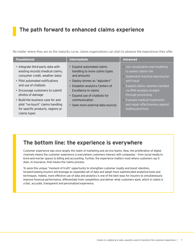## **The path forward to enhanced claims experience**

No matter where they are on the maturity curve, claims organizations can start to advance the experiences they offer.

| <b>Intermediate</b>                                                                                                                                                                                                | <b>Advanced</b>                                                                                                                                                                                                                                                         |
|--------------------------------------------------------------------------------------------------------------------------------------------------------------------------------------------------------------------|-------------------------------------------------------------------------------------------------------------------------------------------------------------------------------------------------------------------------------------------------------------------------|
| Expand automated claims<br>handling to more claims types<br>and amounts<br>▶ Deploy drones as "adjusters"<br>Establish analytics Centers of<br>Excellence in claims<br>Expand use of chatbots for<br>communication | • Use visualization and modeling<br>to assess claims risk<br>Implement machine learning for<br>anti-fraud<br>Expand claims volumes handled<br>via RPA-enabled straight-<br>through processing<br><b>Evaluate medical treatments</b><br>and repair effectiveness against |
|                                                                                                                                                                                                                    | leading practices                                                                                                                                                                                                                                                       |
|                                                                                                                                                                                                                    | $\triangleright$ Seek more external data sources                                                                                                                                                                                                                        |

## **The bottom line: the experience is everywhere**

Customer experience was once largely the realm of marketing and service teams. Now, the proliferation of digital channels means the customer experience is everywhere customers interact with companies – from social media to brick-and-mortar spaces to billing and accounting. Further, the experience matters most where customers say it does. In insurance, that means the claims process.

To seize this unique "moment of truth" opportunity to strengthen customer loyalty and boost retention, forward-looking insurers will leverage an expanded set of data and adopt more sophisticated analytical tools and techniques. Indeed, more effective use of data and analytics is one of the best ways for insurers to simultaneously improve financial performance, differentiate from competitors and deliver what customers want, which in claims is a fast, accurate, transparent and personalized experience.